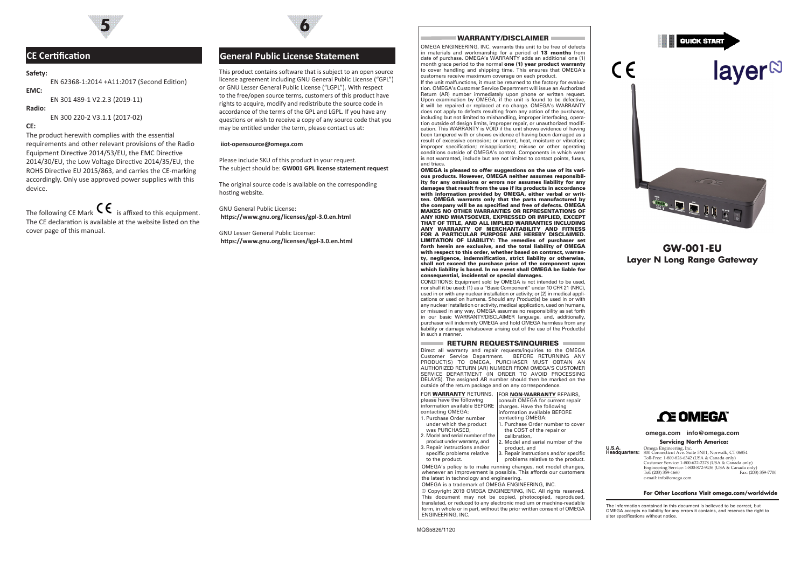

# **Safety:**

EN 62368-1:2014 +A11:2017 (Second Edition) **EMC:**

EN 301 489-1 V2.2.3 (2019-11)

### **Radio:**

EN 300 220-2 V3.1.1 (2017-02)

# **CE:**

The product herewith complies with the essential requirements and other relevant provisions of the Radio Equipment Directive 2014/53/EU, the EMC Directive 2014/30/EU, the Low Voltage Directive 2014/35/EU, the ROHS Directive EU 2015/863, and carries the CE-marking accordingly. Only use approved power supplies with this device.

The following CE Mark  $\mathsf{C}\epsilon$  is affixed to this equipment. The CE declaration is available at the website listed on the cover page of this manual.

# **5 6**

# **CE Certification General Public License Statement**

This product contains software that is subject to an open source license agreement including GNU General Public License ("GPL") or GNU Lesser General Public License ("LGPL"). With respect to the free/open source terms, customers of this product have rights to acquire, modify and redistribute the source code in accordance of the terms of the GPL and LGPL. If you have any questions or wish to receive a copy of any source code that you may be entitled under the term, please contact us at:

#### **iiot-opensource@omega.com**

Please include SKU of this product in your request. The subject should be: **GW001 GPL license statement request**

The original source code is available on the corresponding hosting website.

GNU General Public License: **https://www.gnu.org/licenses/gpl-3.0.en.html**

GNU Lesser General Public License: **https://www.gnu.org/licenses/lgpl-3.0.en.html**

## WARRANTY/DISCI AIMER

OMEGA ENGINEERING, INC. warrants this unit to be free of defects in materials and workmanship for a period of 13 months from date of purchase. OMEGA's WARRANTY adds an additional one (1) month grace period to the normal one (1) year product warranty to cover handling and shipping time. This ensures that OMEGA's customers receive maximum coverage on each product.

If the unit malfunctions, it must be returned to the factory for evaluation. OMEGA's Customer Service Department will issue an Authorized Return (AR) number immediately upon phone or written request. Upon examination by OMEGA, if the unit is found to be defective. it will be repaired or replaced at no charge. OMEGA's WARRANTY does not apply to defects resulting from any action of the purchaser, including but not limited to mishandling, improper interfacing, operation outside of design limits, improper repair, or unauthorized modification. This WARRANTY is VOID if the unit shows evidence of having been tampered with or shows evidence of having been damaged as a result of excessive corrosion; or current, heat, moisture or vibration; improper specification; misapplication; misuse or other operating conditions outside of OMEGA's control. Components in which wear is not warranted, include but are not limited to contact points, fuses, and triacs.

OMEGA is pleased to offer suggestions on the use of its various products. However, OMEGA neither assumes responsibility for any omissions or errors nor assumes liability for any damages that result from the use if its products in accordance with information provided by OMEGA, either verbal or written. OMEGA warrants only that the parts manufactured by the company will be as specified and free of defects. OMEGA MAKES NO OTHER WARRANTIES OR REPRESENTATIONS OF ANY KIND WHATSOEVER, EXPRESSED OR IMPLIED, EXCEPT THAT OF TITLE, AND ALL IMPLIED WARRANTIES INCLUDING ANY WARRANTY OF MERCHANTABILITY AND FITNESS FOR A PARTICULAR PURPOSE ARE HEREBY DISCLAIMED. LIMITATION OF LIABILITY: The remedies of purchaser set forth herein are exclusive, and the total liability of OMEGA with respect to this order, whether based on contract, warranty, negligence, indemnification, strict liability or otherwise, shall not exceed the purchase price of the component upon which liability is based. In no event shall OMEGA be liable for consequential, incidental or special damages.

CONDITIONS: Equipment sold by OMEGA is not intended to be used, nor shall it be used: (1) as a "Basic Component" under 10 CFR 21 (NRC), used in or with any nuclear installation or activity; or (2) in medical applications or used on humans. Should any Product(s) be used in or with any nuclear installation or activity, medical application, used on humans, or misused in any way, OMEGA assumes no responsibility as set forth in our basic WARRANTY/DISCLAIMER language, and, additionally, purchaser will indemnify OMEGA and hold OMEGA harmless from any liability or damage whatsoever arising out of the use of the Product(s) in such a manner.

#### $=$  Return requests/inquiries  $=$

Direct all warranty and repair requests/inquiries to the OMEGA Customer Service Department. BEFORE RETURNING ANY PRODUCT(S) TO OMEGA, PURCHASER MUST OBTAIN AN AUTHORIZED RETURN (AR) NUMBER FROM OMEGA'S CUSTOMER SERVICE DEPARTMENT (IN ORDER TO AVOID PROCESSING DELAYS). The assigned AR number should then be marked on the outside of the return package and on any correspondence.

FOR WARRANTY RETURNS, FOR NON-WARRANTY REPAIRS, please have the following information available BEFORE | charges. Have the following contacting OMEGA: 1. Purchase Order number under which the product was PURCHASED, 2. Model and serial number of the product under warranty, and 3. Repair instructions and/or specific problems relative to the product. consult OMEGA for current repair information available BEFORE contacting OMEGA: 1. Purchase Order number to cover the COST of the repair or calibration, Model and serial number of the product, and . Repair instructions and/or specific problems relative to the product. OMEGA's policy is to make running changes, not model changes, whenever an improvement is possible. This affords our customers the latest in technology and engineering. OMEGA is a trademark of OMEGA ENGINEERING, INC.

© Copyright 2019 OMEGA ENGINEERING, INC. All rights reserved. This document may not be copied, photocopied, reproduced, translated, or reduced to any electronic medium or machine-readable form, in whole or in part, without the prior written consent of OMEGA ENGINEERING, INC.

**QUICK START** 

 $\epsilon$ 

# laver<sup>N</sup>



# **GW-001-EU Layer N Long Range Gateway**

# **CE OMEGA**

#### **omega.com info@omega.com**

#### **Servicing North America:**

**U.S.A.** Omega Engineering, Inc. **Headquarters:** 800 Connecticut Ave. Suite 5N01, Norwalk, CT 06854 Toll-Free: 1-800-826-6342 (USA & Canada only) Customer Service: 1-800-622-2378 (USA & Canada only) Engineering Service: 1-800-872-9436 (USA & Canada only) Tel: (203) 359-1660 Fax: (203) 359-7700 e-mail: info@omega.com

#### **For Other Locations Visit omega.com/worldwide**

The information contained in this document is believed to be correct, but OMEGA accepts no liability for any errors it contains, and reserves the right to alter specifications without notice.